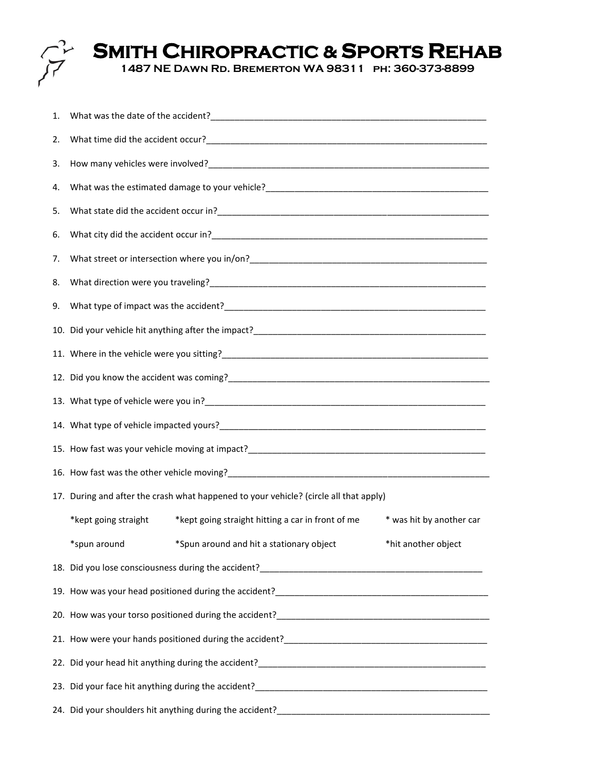

## **SMITH CHIROPRACTIC & SPORTS REHAB**

**1487 NE Dawn Rd. Bremerton WA 98311 ph: 360-373-8899** 

| 1. |                                                                                                                                                                                                                   |                                                   |                          |  |
|----|-------------------------------------------------------------------------------------------------------------------------------------------------------------------------------------------------------------------|---------------------------------------------------|--------------------------|--|
| 2. |                                                                                                                                                                                                                   |                                                   |                          |  |
| 3. |                                                                                                                                                                                                                   |                                                   |                          |  |
| 4. | What was the estimated damage to your vehicle?<br><u> </u>                                                                                                                                                        |                                                   |                          |  |
| 5. |                                                                                                                                                                                                                   |                                                   |                          |  |
| 6. |                                                                                                                                                                                                                   |                                                   |                          |  |
| 7. |                                                                                                                                                                                                                   |                                                   |                          |  |
| 8. |                                                                                                                                                                                                                   |                                                   |                          |  |
| 9. |                                                                                                                                                                                                                   |                                                   |                          |  |
|    |                                                                                                                                                                                                                   |                                                   |                          |  |
|    |                                                                                                                                                                                                                   |                                                   |                          |  |
|    |                                                                                                                                                                                                                   |                                                   |                          |  |
|    |                                                                                                                                                                                                                   |                                                   |                          |  |
|    |                                                                                                                                                                                                                   |                                                   |                          |  |
|    |                                                                                                                                                                                                                   |                                                   |                          |  |
|    | 16. How fast was the other vehicle moving?<br>The manager and the context of the context of the context of the context of the context of the context of the<br>Section 16. How fast was the other vehicle moving? |                                                   |                          |  |
|    | 17. During and after the crash what happened to your vehicle? (circle all that apply)                                                                                                                             |                                                   |                          |  |
|    | *kept going straight                                                                                                                                                                                              | *kept going straight hitting a car in front of me | * was hit by another car |  |
|    | *spun around                                                                                                                                                                                                      | *Spun around and hit a stationary object          | *hit another object      |  |
|    |                                                                                                                                                                                                                   |                                                   |                          |  |
|    |                                                                                                                                                                                                                   |                                                   |                          |  |
|    |                                                                                                                                                                                                                   |                                                   |                          |  |
|    |                                                                                                                                                                                                                   |                                                   |                          |  |
|    |                                                                                                                                                                                                                   |                                                   |                          |  |
|    |                                                                                                                                                                                                                   |                                                   |                          |  |
|    |                                                                                                                                                                                                                   |                                                   |                          |  |